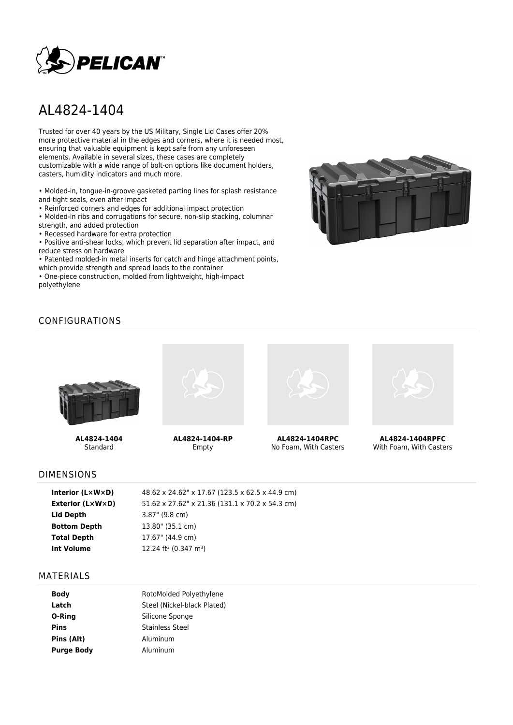

# AL4824-1404

Trusted for over 40 years by the US Military, Single Lid Cases offer 20% more protective material in the edges and corners, where it is needed most, ensuring that valuable equipment is kept safe from any unforeseen elements. Available in several sizes, these cases are completely customizable with a wide range of bolt-on options like document holders, casters, humidity indicators and much more.

• Molded-in, tongue-in-groove gasketed parting lines for splash resistance and tight seals, even after impact

• Reinforced corners and edges for additional impact protection

• Molded-in ribs and corrugations for secure, non-slip stacking, columnar strength, and added protection

• Recessed hardware for extra protection

• Positive anti-shear locks, which prevent lid separation after impact, and reduce stress on hardware

• Patented molded-in metal inserts for catch and hinge attachment points, which provide strength and spread loads to the container

• One-piece construction, molded from lightweight, high-impact polyethylene



# CONFIGURATIONS



**AL4824-1404** Standard



**AL4824-1404-RP** Empty



**AL4824-1404RPC** No Foam, With Casters



**AL4824-1404RPFC** With Foam, With Casters

#### DIMENSIONS

| Interior (LxWxD)        | 48.62 x 24.62" x 17.67 (123.5 x 62.5 x 44.9 cm) |
|-------------------------|-------------------------------------------------|
| <b>Exterior (L×W×D)</b> | 51.62 x 27.62" x 21.36 (131.1 x 70.2 x 54.3 cm) |
| Lid Depth               | $3.87$ " (9.8 cm)                               |
| <b>Bottom Depth</b>     | 13.80" (35.1 cm)                                |
| <b>Total Depth</b>      | 17.67" (44.9 cm)                                |
| Int Volume              | 12.24 ft <sup>3</sup> (0.347 m <sup>3</sup> )   |
|                         |                                                 |

#### MATERIALS

| <b>Body</b>       | RotoMolded Polyethylene     |  |  |
|-------------------|-----------------------------|--|--|
|                   |                             |  |  |
| Latch             | Steel (Nickel-black Plated) |  |  |
| O-Ring            | Silicone Sponge             |  |  |
| <b>Pins</b>       | Stainless Steel             |  |  |
| Pins (Alt)        | Aluminum                    |  |  |
| <b>Purge Body</b> | Aluminum                    |  |  |